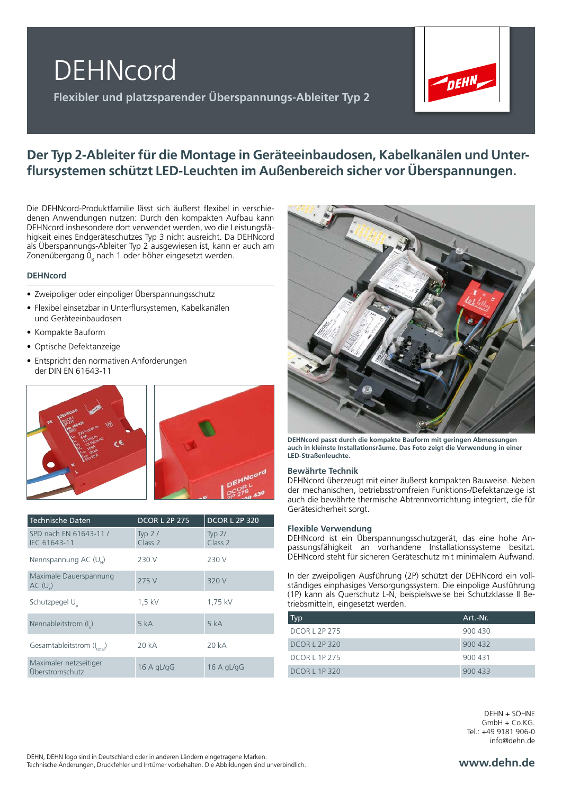



# **Der Typ 2-Ableiter für die Montage in Geräteeinbaudosen, Kabelkanälen und Unterflursystemen schützt LED-Leuchten im Außenbereich sicher vor Überspannungen.**

Die DEHNcord-Produktfamilie lässt sich äußerst flexibel in verschiedenen Anwendungen nutzen: Durch den kompakten Aufbau kann DEHNcord insbesondere dort verwendet werden, wo die Leistungsfähigkeit eines Endgeräteschutzes Typ 3 nicht ausreicht. Da DEHNcord als Überspannungs-Ableiter Typ 2 ausgewiesen ist, kann er auch am Zonenübergang 0 $_{_{\mathrm{B}}}$  nach 1 oder höher eingesetzt werden.

### **DEHNcord**

- Zweipoliger oder einpoliger Überspannungsschutz
- Flexibel einsetzbar in Unterflursystemen, Kabelkanälen und Geräteeinbaudosen
- Kompakte Bauform
- Optische Defektanzeige
- Entspricht den normativen Anforderungen der DIN EN 61643-11



| <b>Technische Daten</b>                   | <b>DCOR L 2P 275</b>           | <b>DCOR L 2P 320</b>           |
|-------------------------------------------|--------------------------------|--------------------------------|
| SPD nach EN 61643-11 /<br>IEC 61643-11    | Typ $2/$<br>Class <sub>2</sub> | Typ $2/$<br>Class <sub>2</sub> |
| Nennspannung AC (U <sub>N</sub> )         | 230 V                          | 230 V                          |
| Maximale Dauerspannung<br>AC(U)           | 275 V                          | 320 V                          |
| Schutzpegel U <sub>n</sub>                | $1.5$ kV                       | 1,75 kV                        |
| Nennableitstrom (I)                       | 5 kA                           | 5 kA                           |
| Gesamtableitstrom $(I_{total})$           | 20 kA                          | 20 kA                          |
| Maximaler netzseitiger<br>Überstromschutz | 16 A $qL/qG$                   | 16 A gL/gG                     |



**DEHNcord passt durch die kompakte Bauform mit geringen Abmessungen auch in kleinste Installationsräume. Das Foto zeigt die Verwendung in einer LED-Straßenleuchte.**

### **Bewährte Technik**

DEHNcord überzeugt mit einer äußerst kompakten Bauweise. Neben der mechanischen, betriebsstromfreien Funktions-/Defektanzeige ist auch die bewährte thermische Abtrennvorrichtung integriert, die für Gerätesicherheit sorgt.

#### **Flexible Verwendung**

DEHNcord ist ein Überspannungsschutzgerät, das eine hohe Anpassungsfähigkeit an vorhandene Installationssysteme besitzt. DEHNcord steht für sicheren Geräteschutz mit minimalem Aufwand.

In der zweipoligen Ausführung (2P) schützt der DEHNcord ein vollständiges einphasiges Versorgungssystem. Die einpolige Ausführung (1P) kann als Querschutz L-N, beispielsweise bei Schutzklasse II Betriebsmitteln, eingesetzt werden.

| <b>Typ</b>           | Art.-Nr. |
|----------------------|----------|
| <b>DCOR L 2P 275</b> | 900 430  |
| <b>DCOR L 2P 320</b> | 900 432  |
| <b>DCORL 1P 275</b>  | 900 431  |
| <b>DCORL 1P320</b>   | 900 433  |

DEHN + SÖHNE GmbH + Co.KG. Tel.: +49 9181 906-0 info@dehn.de